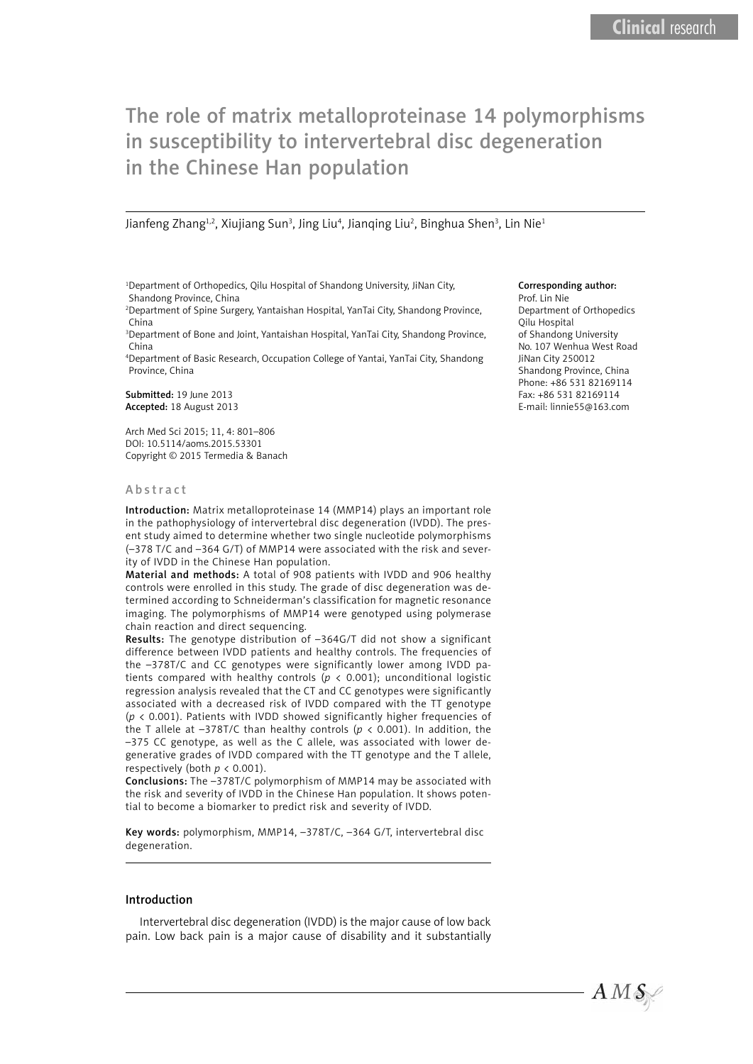# The role of matrix metalloproteinase 14 polymorphisms in susceptibility to intervertebral disc degeneration in the Chinese Han population

Jianfeng Zhang<sup>1,2</sup>, Xiujiang Sun<sup>3</sup>, Jing Liu<sup>4</sup>, Jianqing Liu<sup>2</sup>, Binghua Shen<sup>3</sup>, Lin Nie<sup>1</sup>

<sup>1</sup>Department of Orthopedics, Qilu Hospital of Shandong University, JiNan City, Shandong Province, China

2 Department of Spine Surgery, Yantaishan Hospital, YanTai City, Shandong Province, China

3 Department of Bone and Joint, Yantaishan Hospital, YanTai City, Shandong Province, China

4 Department of Basic Research, Occupation College of Yantai, YanTai City, Shandong Province, China

Submitted: 19 June 2013 Accepted: 18 August 2013

Arch Med Sci 2015; 11, 4: 801–806 DOI: 10.5114/aoms.2015.53301 Copyright © 2015 Termedia & Banach

## Abstract

Introduction: Matrix metalloproteinase 14 (MMP14) plays an important role in the pathophysiology of intervertebral disc degeneration (IVDD). The present study aimed to determine whether two single nucleotide polymorphisms (–378 T/C and –364 G/T) of MMP14 were associated with the risk and severity of IVDD in the Chinese Han population.

Material and methods: A total of 908 patients with IVDD and 906 healthy controls were enrolled in this study. The grade of disc degeneration was determined according to Schneiderman's classification for magnetic resonance imaging. The polymorphisms of MMP14 were genotyped using polymerase chain reaction and direct sequencing.

Results: The genotype distribution of –364G/T did not show a significant difference between IVDD patients and healthy controls. The frequencies of the –378T/C and CC genotypes were significantly lower among IVDD patients compared with healthy controls ( $p < 0.001$ ); unconditional logistic regression analysis revealed that the CT and CC genotypes were significantly associated with a decreased risk of IVDD compared with the TT genotype (*p* < 0.001). Patients with IVDD showed significantly higher frequencies of the T allele at –378T/C than healthy controls (*p* < 0.001). In addition, the –375 CC genotype, as well as the C allele, was associated with lower degenerative grades of IVDD compared with the TT genotype and the T allele, respectively (both *p* < 0.001).

Conclusions: The –378T/C polymorphism of MMP14 may be associated with the risk and severity of IVDD in the Chinese Han population. It shows potential to become a biomarker to predict risk and severity of IVDD.

Key words: polymorphism, MMP14, –378T/C, –364 G/T, intervertebral disc degeneration.

## Introduction

Intervertebral disc degeneration (IVDD) is the major cause of low back pain. Low back pain is a major cause of disability and it substantially

#### Corresponding author:

Prof. Lin Nie Department of Orthopedics Qilu Hospital of Shandong University No. 107 Wenhua West Road JiNan City 250012 Shandong Province, China Phone: +86 531 82169114 Fax: +86 531 82169114 E-mail: linnie55@163.com

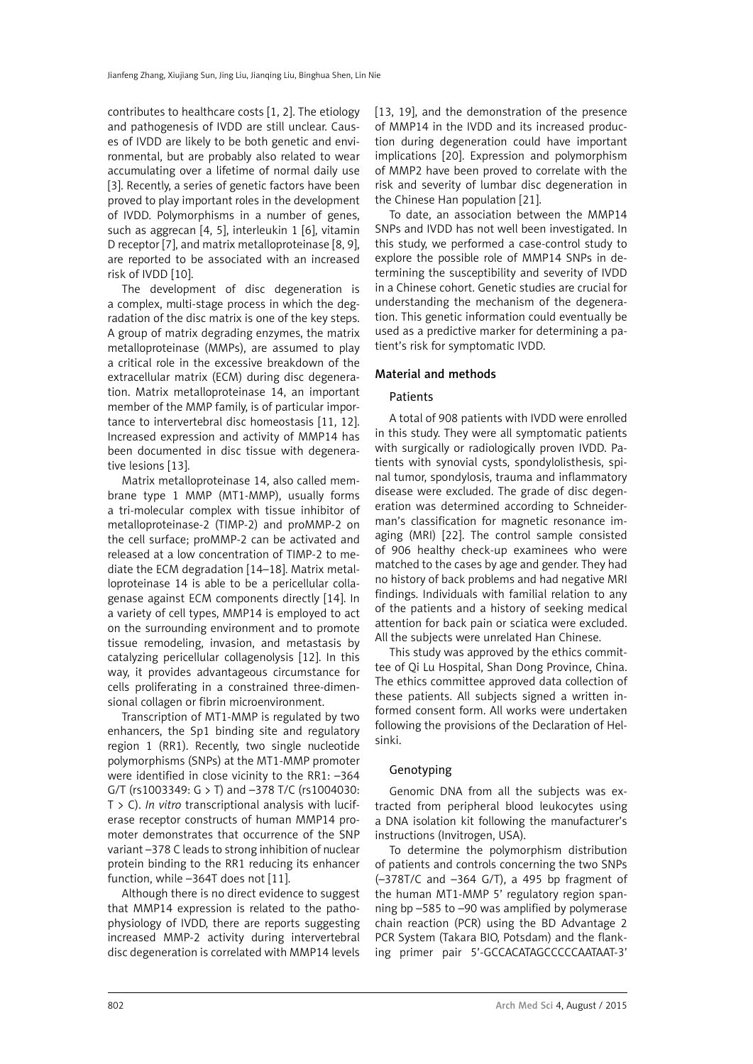contributes to healthcare costs [1, 2]. The etiology and pathogenesis of IVDD are still unclear. Causes of IVDD are likely to be both genetic and environmental, but are probably also related to wear accumulating over a lifetime of normal daily use [3]. Recently, a series of genetic factors have been proved to play important roles in the development of IVDD. Polymorphisms in a number of genes, such as aggrecan [4, 5], interleukin 1 [6], vitamin D receptor [7], and matrix metalloproteinase [8, 9], are reported to be associated with an increased risk of IVDD [10].

The development of disc degeneration is a complex, multi-stage process in which the degradation of the disc matrix is one of the key steps. A group of matrix degrading enzymes, the matrix metalloproteinase (MMPs), are assumed to play a critical role in the excessive breakdown of the extracellular matrix (ECM) during disc degeneration. Matrix metalloproteinase 14, an important member of the MMP family, is of particular importance to intervertebral disc homeostasis [11, 12]. Increased expression and activity of MMP14 has been documented in disc tissue with degenerative lesions [13].

Matrix metalloproteinase 14, also called membrane type 1 MMP (MT1-MMP), usually forms a tri-molecular complex with tissue inhibitor of metalloproteinase-2 (TIMP-2) and proMMP-2 on the cell surface; proMMP-2 can be activated and released at a low concentration of TIMP-2 to mediate the ECM degradation [14–18]. Matrix metalloproteinase 14 is able to be a pericellular collagenase against ECM components directly [14]. In a variety of cell types, MMP14 is employed to act on the surrounding environment and to promote tissue remodeling, invasion, and metastasis by catalyzing pericellular collagenolysis [12]. In this way, it provides advantageous circumstance for cells proliferating in a constrained three-dimensional collagen or fibrin microenvironment.

Transcription of MT1-MMP is regulated by two enhancers, the Sp1 binding site and regulatory region 1 (RR1). Recently, two single nucleotide polymorphisms (SNPs) at the MT1-MMP promoter were identified in close vicinity to the RR1: –364 G/T (rs1003349: G > T) and –378 T/C (rs1004030: T > C). *In vitro* transcriptional analysis with luciferase receptor constructs of human MMP14 promoter demonstrates that occurrence of the SNP variant –378 C leads to strong inhibition of nuclear protein binding to the RR1 reducing its enhancer function, while –364T does not [11].

Although there is no direct evidence to suggest that MMP14 expression is related to the pathophysiology of IVDD, there are reports suggesting increased MMP-2 activity during intervertebral disc degeneration is correlated with MMP14 levels [13, 19], and the demonstration of the presence of MMP14 in the IVDD and its increased production during degeneration could have important implications [20]. Expression and polymorphism of MMP2 have been proved to correlate with the risk and severity of lumbar disc degeneration in the Chinese Han population [21].

To date, an association between the MMP14 SNPs and IVDD has not well been investigated. In this study, we performed a case-control study to explore the possible role of MMP14 SNPs in determining the susceptibility and severity of IVDD in a Chinese cohort. Genetic studies are crucial for understanding the mechanism of the degeneration. This genetic information could eventually be used as a predictive marker for determining a patient's risk for symptomatic IVDD.

# Material and methods

## Patients

A total of 908 patients with IVDD were enrolled in this study. They were all symptomatic patients with surgically or radiologically proven IVDD. Patients with synovial cysts, spondylolisthesis, spinal tumor, spondylosis, trauma and inflammatory disease were excluded. The grade of disc degeneration was determined according to Schneiderman's classification for magnetic resonance imaging (MRI) [22]. The control sample consisted of 906 healthy check-up examinees who were matched to the cases by age and gender. They had no history of back problems and had negative MRI findings. Individuals with familial relation to any of the patients and a history of seeking medical attention for back pain or sciatica were excluded. All the subjects were unrelated Han Chinese.

This study was approved by the ethics committee of Qi Lu Hospital, Shan Dong Province, China. The ethics committee approved data collection of these patients. All subjects signed a written informed consent form. All works were undertaken following the provisions of the Declaration of Helsinki.

# Genotyping

Genomic DNA from all the subjects was extracted from peripheral blood leukocytes using a DNA isolation kit following the manufacturer's instructions (Invitrogen, USA).

To determine the polymorphism distribution of patients and controls concerning the two SNPs (–378T/C and –364 G/T), a 495 bp fragment of the human MT1-MMP 5' regulatory region spanning bp –585 to –90 was amplified by polymerase chain reaction (PCR) using the BD Advantage 2 PCR System (Takara BIO, Potsdam) and the flanking primer pair 5'-GCCACATAGCCCCCAATAAT-3'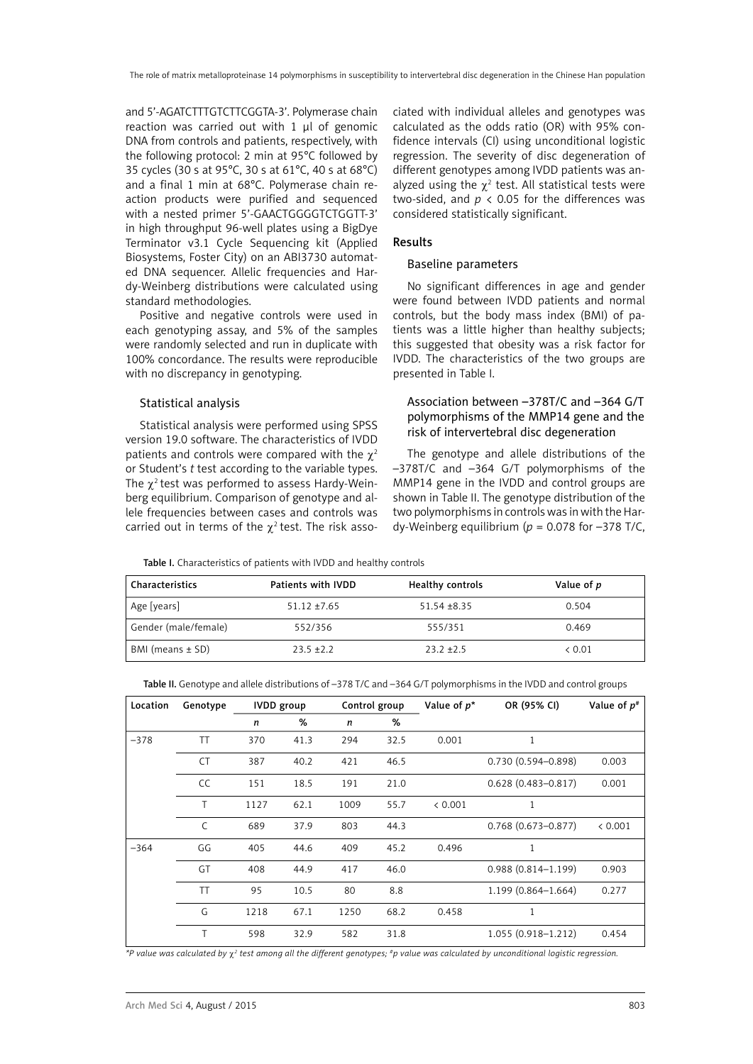and 5'-AGATCTTTGTCTTCGGTA-3'. Polymerase chain reaction was carried out with 1 µl of genomic DNA from controls and patients, respectively, with the following protocol: 2 min at 95°C followed by 35 cycles (30 s at 95°C, 30 s at 61°C, 40 s at 68°C) and a final 1 min at 68°C. Polymerase chain reaction products were purified and sequenced with a nested primer 5'-GAACTGGGGTCTGGTT-3' in high throughput 96-well plates using a BigDye Terminator v3.1 Cycle Sequencing kit (Applied Biosystems, Foster City) on an ABI3730 automated DNA sequencer. Allelic frequencies and Hardy-Weinberg distributions were calculated using standard methodologies.

Positive and negative controls were used in each genotyping assay, and 5% of the samples were randomly selected and run in duplicate with 100% concordance. The results were reproducible with no discrepancy in genotyping.

## Statistical analysis

Statistical analysis were performed using SPSS version 19.0 software. The characteristics of IVDD patients and controls were compared with the  $\gamma^2$ or Student's *t* test according to the variable types. The  $\gamma^2$  test was performed to assess Hardy-Weinberg equilibrium. Comparison of genotype and allele frequencies between cases and controls was carried out in terms of the  $\chi^2$  test. The risk associated with individual alleles and genotypes was calculated as the odds ratio (OR) with 95% confidence intervals (CI) using unconditional logistic regression. The severity of disc degeneration of different genotypes among IVDD patients was analyzed using the  $\chi^2$  test. All statistical tests were two-sided, and  $p < 0.05$  for the differences was considered statistically significant.

## Results

## Baseline parameters

No significant differences in age and gender were found between IVDD patients and normal controls, but the body mass index (BMI) of patients was a little higher than healthy subjects; this suggested that obesity was a risk factor for IVDD. The characteristics of the two groups are presented in Table I.

# Association between –378T/C and –364 G/T polymorphisms of the MMP14 gene and the risk of intervertebral disc degeneration

The genotype and allele distributions of the –378T/C and –364 G/T polymorphisms of the MMP14 gene in the IVDD and control groups are shown in Table II. The genotype distribution of the two polymorphisms in controls was in with the Hardy-Weinberg equilibrium ( $p = 0.078$  for  $-378$  T/C,

Table I. Characteristics of patients with IVDD and healthy controls

| Characteristics      | Patients with IVDD | Healthy controls | Value of p |
|----------------------|--------------------|------------------|------------|
| Age [years]          | $51.12 \pm 7.65$   | $51.54 \pm 8.35$ | 0.504      |
| Gender (male/female) | 552/356            | 555/351          | 0.469      |
| BMI (means $\pm$ SD) | $23.5 + 2.2$       | $23.2 + 2.5$     | & 0.01     |

Table II. Genotype and allele distributions of –378 T/C and –364 G/T polymorphisms in the IVDD and control groups

| Location | Genotype     |      | <b>IVDD</b> group |      | Value of $p^*$<br>Control group |         | OR (95% CI)            | Value of $p^*$ |
|----------|--------------|------|-------------------|------|---------------------------------|---------|------------------------|----------------|
|          |              | n    | %                 | n    | %                               |         |                        |                |
| $-378$   | <b>TT</b>    | 370  | 41.3              | 294  | 32.5                            | 0.001   | 1                      |                |
|          | <b>CT</b>    | 387  | 40.2              | 421  | 46.5                            |         | $0.730(0.594 - 0.898)$ | 0.003          |
|          | CC           | 151  | 18.5              | 191  | 21.0                            |         | $0.628(0.483 - 0.817)$ | 0.001          |
|          | T            | 1127 | 62.1              | 1009 | 55.7                            | < 0.001 | 1                      |                |
|          | $\mathsf{C}$ | 689  | 37.9              | 803  | 44.3                            |         | $0.768(0.673 - 0.877)$ | < 0.001        |
| $-364$   | GG           | 405  | 44.6              | 409  | 45.2                            | 0.496   | 1                      |                |
|          | GT           | 408  | 44.9              | 417  | 46.0                            |         | $0.988(0.814 - 1.199)$ | 0.903          |
|          | <b>TT</b>    | 95   | 10.5              | 80   | 8.8                             |         | $1.199(0.864 - 1.664)$ | 0.277          |
|          | G            | 1218 | 67.1              | 1250 | 68.2                            | 0.458   | 1                      |                |
|          | Τ            | 598  | 32.9              | 582  | 31.8                            |         | $1.055(0.918 - 1.212)$ | 0.454          |

*\*P value was calculated by* c*<sup>2</sup> test among all the different genotypes; #p value was calculated by unconditional logistic regression.*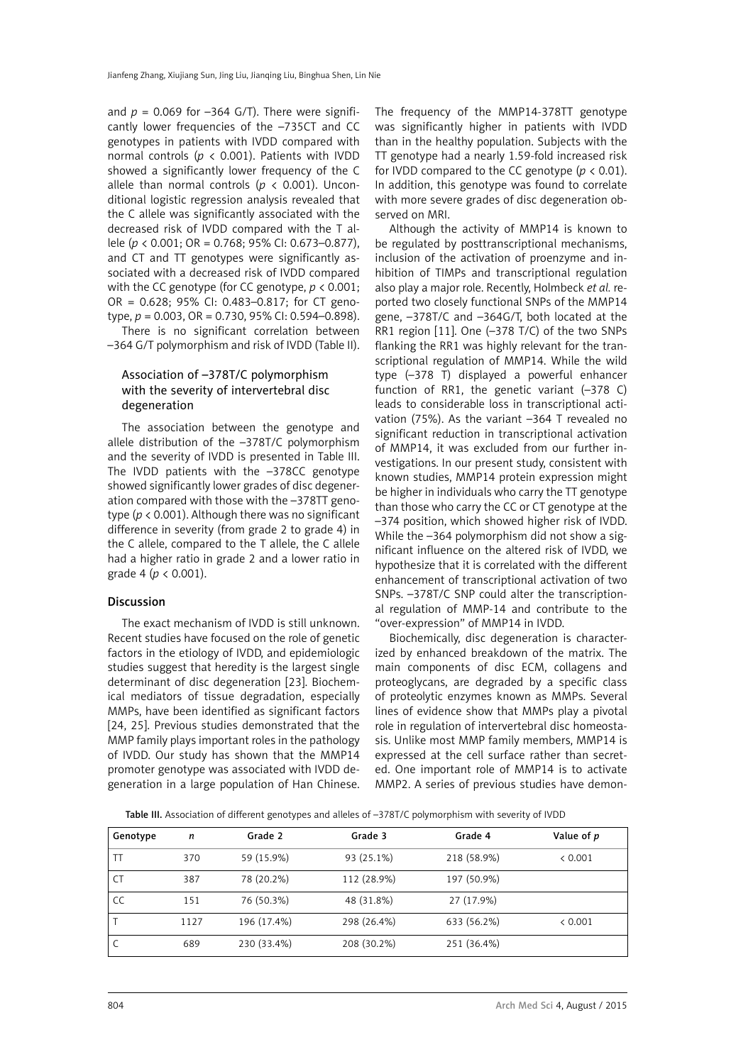and  $p = 0.069$  for  $-364$  G/T). There were significantly lower frequencies of the –735CT and CC genotypes in patients with IVDD compared with normal controls ( $p \lt 0.001$ ). Patients with IVDD showed a significantly lower frequency of the C allele than normal controls ( $p < 0.001$ ). Unconditional logistic regression analysis revealed that the C allele was significantly associated with the decreased risk of IVDD compared with the T allele (*p* < 0.001; OR = 0.768; 95% CI: 0.673–0.877), and CT and TT genotypes were significantly associated with a decreased risk of IVDD compared with the CC genotype (for CC genotype, *p* < 0.001; OR = 0.628; 95% CI: 0.483–0.817; for CT genotype, *p* = 0.003, OR = 0.730, 95% CI: 0.594–0.898). There is no significant correlation between –364 G/T polymorphism and risk of IVDD (Table II).

# Association of –378T/C polymorphism with the severity of intervertebral disc degeneration

The association between the genotype and allele distribution of the –378T/C polymorphism and the severity of IVDD is presented in Table III. The IVDD patients with the –378CC genotype showed significantly lower grades of disc degeneration compared with those with the –378TT genotype (*p* < 0.001). Although there was no significant difference in severity (from grade 2 to grade 4) in the C allele, compared to the T allele, the C allele had a higher ratio in grade 2 and a lower ratio in grade 4 (*p* < 0.001).

# Discussion

The exact mechanism of IVDD is still unknown. Recent studies have focused on the role of genetic factors in the etiology of IVDD, and epidemiologic studies suggest that heredity is the largest single determinant of disc degeneration [23]. Biochemical mediators of tissue degradation, especially MMPs, have been identified as significant factors [24, 25]. Previous studies demonstrated that the MMP family plays important roles in the pathology of IVDD. Our study has shown that the MMP14 promoter genotype was associated with IVDD degeneration in a large population of Han Chinese. The frequency of the MMP14-378TT genotype was significantly higher in patients with IVDD than in the healthy population. Subjects with the TT genotype had a nearly 1.59-fold increased risk for IVDD compared to the CC genotype ( $p < 0.01$ ). In addition, this genotype was found to correlate with more severe grades of disc degeneration observed on MRI.

Although the activity of MMP14 is known to be regulated by posttranscriptional mechanisms, inclusion of the activation of proenzyme and inhibition of TIMPs and transcriptional regulation also play a major role. Recently, Holmbeck *et al.* reported two closely functional SNPs of the MMP14 gene, –378T/C and –364G/T, both located at the RR1 region [11]. One (–378 T/C) of the two SNPs flanking the RR1 was highly relevant for the transcriptional regulation of MMP14. While the wild type (–378 T) displayed a powerful enhancer function of RR1, the genetic variant (–378 C) leads to considerable loss in transcriptional activation (75%). As the variant –364 T revealed no significant reduction in transcriptional activation of MMP14, it was excluded from our further investigations. In our present study, consistent with known studies, MMP14 protein expression might be higher in individuals who carry the TT genotype than those who carry the CC or CT genotype at the –374 position, which showed higher risk of IVDD. While the  $-364$  polymorphism did not show a significant influence on the altered risk of IVDD, we hypothesize that it is correlated with the different enhancement of transcriptional activation of two SNPs. –378T/C SNP could alter the transcriptional regulation of MMP-14 and contribute to the "over-expression" of MMP14 in IVDD.

Biochemically, disc degeneration is characterized by enhanced breakdown of the matrix. The main components of disc ECM, collagens and proteoglycans, are degraded by a specific class of proteolytic enzymes known as MMPs. Several lines of evidence show that MMPs play a pivotal role in regulation of intervertebral disc homeostasis. Unlike most MMP family members, MMP14 is expressed at the cell surface rather than secreted. One important role of MMP14 is to activate MMP2. A series of previous studies have demon-

Table III. Association of different genotypes and alleles of –378T/C polymorphism with severity of IVDD

| Genotype | n    | Grade 2     | Grade 3     | Grade 4     | Value of p |
|----------|------|-------------|-------------|-------------|------------|
| TT       | 370  | 59 (15.9%)  | 93 (25.1%)  | 218 (58.9%) | < 0.001    |
|          | 387  | 78 (20.2%)  | 112 (28.9%) | 197 (50.9%) |            |
| CC       | 151  | 76 (50.3%)  | 48 (31.8%)  | 27 (17.9%)  |            |
|          | 1127 | 196 (17.4%) | 298 (26.4%) | 633 (56.2%) | < 0.001    |
|          | 689  | 230 (33.4%) | 208 (30.2%) | 251 (36.4%) |            |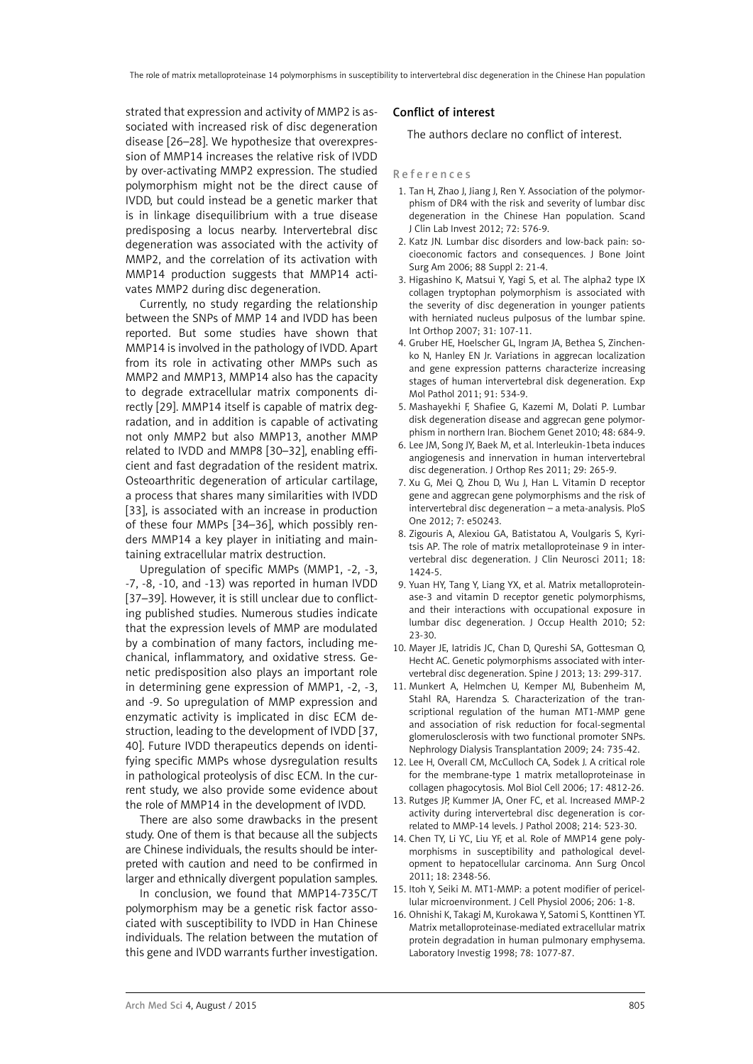strated that expression and activity of MMP2 is associated with increased risk of disc degeneration disease [26–28]. We hypothesize that overexpression of MMP14 increases the relative risk of IVDD by over-activating MMP2 expression. The studied polymorphism might not be the direct cause of IVDD, but could instead be a genetic marker that is in linkage disequilibrium with a true disease predisposing a locus nearby. Intervertebral disc degeneration was associated with the activity of MMP2, and the correlation of its activation with MMP14 production suggests that MMP14 activates MMP2 during disc degeneration.

Currently, no study regarding the relationship between the SNPs of MMP 14 and IVDD has been reported. But some studies have shown that MMP14 is involved in the pathology of IVDD. Apart from its role in activating other MMPs such as MMP2 and MMP13, MMP14 also has the capacity to degrade extracellular matrix components directly [29]. MMP14 itself is capable of matrix degradation, and in addition is capable of activating not only MMP2 but also MMP13, another MMP related to IVDD and MMP8 [30–32], enabling efficient and fast degradation of the resident matrix. Osteoarthritic degeneration of articular cartilage, a process that shares many similarities with IVDD [33], is associated with an increase in production of these four MMPs [34–36], which possibly renders MMP14 a key player in initiating and maintaining extracellular matrix destruction.

Upregulation of specific MMPs (MMP1, -2, -3, -7, -8, -10, and -13) was reported in human IVDD [37–39]. However, it is still unclear due to conflicting published studies. Numerous studies indicate that the expression levels of MMP are modulated by a combination of many factors, including mechanical, inflammatory, and oxidative stress. Genetic predisposition also plays an important role in determining gene expression of MMP1, -2, -3, and -9. So upregulation of MMP expression and enzymatic activity is implicated in disc ECM destruction, leading to the development of IVDD [37, 40]. Future IVDD therapeutics depends on identifying specific MMPs whose dysregulation results in pathological proteolysis of disc ECM. In the current study, we also provide some evidence about the role of MMP14 in the development of IVDD.

There are also some drawbacks in the present study. One of them is that because all the subjects are Chinese individuals, the results should be interpreted with caution and need to be confirmed in larger and ethnically divergent population samples.

In conclusion, we found that MMP14-735C/T polymorphism may be a genetic risk factor associated with susceptibility to IVDD in Han Chinese individuals. The relation between the mutation of this gene and IVDD warrants further investigation.

## Conflict of interest

The authors declare no conflict of interest.

### References

- 1. Tan H, Zhao J, Jiang J, Ren Y. Association of the polymorphism of DR4 with the risk and severity of lumbar disc degeneration in the Chinese Han population. Scand J Clin Lab Invest 2012; 72: 576-9.
- 2. Katz JN. Lumbar disc disorders and low-back pain: socioeconomic factors and consequences. J Bone Joint Surg Am 2006; 88 Suppl 2: 21-4.
- 3. Higashino K, Matsui Y, Yagi S, et al. The alpha2 type IX collagen tryptophan polymorphism is associated with the severity of disc degeneration in younger patients with herniated nucleus pulposus of the lumbar spine. Int Orthop 2007; 31: 107-11.
- 4. Gruber HE, Hoelscher GL, Ingram JA, Bethea S, Zinchenko N, Hanley EN Jr. Variations in aggrecan localization and gene expression patterns characterize increasing stages of human intervertebral disk degeneration. Exp Mol Pathol 2011; 91: 534-9.
- 5. Mashayekhi F, Shafiee G, Kazemi M, Dolati P. Lumbar disk degeneration disease and aggrecan gene polymorphism in northern Iran. Biochem Genet 2010; 48: 684-9.
- 6. Lee JM, Song JY, Baek M, et al. Interleukin-1beta induces angiogenesis and innervation in human intervertebral disc degeneration. J Orthop Res 2011; 29: 265-9.
- 7. Xu G, Mei Q, Zhou D, Wu J, Han L. Vitamin D receptor gene and aggrecan gene polymorphisms and the risk of intervertebral disc degeneration – a meta-analysis. PloS One 2012; 7: e50243.
- 8. Zigouris A, Alexiou GA, Batistatou A, Voulgaris S, Kyritsis AP. The role of matrix metalloproteinase 9 in intervertebral disc degeneration. J Clin Neurosci 2011; 18: 1424-5.
- 9. Yuan HY, Tang Y, Liang YX, et al. Matrix metalloproteinase-3 and vitamin D receptor genetic polymorphisms, and their interactions with occupational exposure in lumbar disc degeneration. J Occup Health 2010; 52: 23-30.
- 10. Mayer JE, Iatridis JC, Chan D, Qureshi SA, Gottesman O, Hecht AC. Genetic polymorphisms associated with intervertebral disc degeneration. Spine J 2013; 13: 299-317.
- 11. Munkert A, Helmchen U, Kemper MJ, Bubenheim M, Stahl RA, Harendza S. Characterization of the transcriptional regulation of the human MT1-MMP gene and association of risk reduction for focal-segmental glomerulosclerosis with two functional promoter SNPs. Nephrology Dialysis Transplantation 2009; 24: 735-42.
- 12. Lee H, Overall CM, McCulloch CA, Sodek J. A critical role for the membrane-type 1 matrix metalloproteinase in collagen phagocytosis. Mol Biol Cell 2006; 17: 4812-26.
- 13. Rutges JP, Kummer JA, Oner FC, et al. Increased MMP-2 activity during intervertebral disc degeneration is correlated to MMP-14 levels. J Pathol 2008; 214: 523-30.
- 14. Chen TY, Li YC, Liu YF, et al. Role of MMP14 gene polymorphisms in susceptibility and pathological development to hepatocellular carcinoma. Ann Surg Oncol 2011; 18: 2348-56.
- 15. Itoh Y, Seiki M. MT1-MMP: a potent modifier of pericellular microenvironment. J Cell Physiol 2006; 206: 1-8.
- 16. Ohnishi K, Takagi M, Kurokawa Y, Satomi S, Konttinen YT. Matrix metalloproteinase-mediated extracellular matrix protein degradation in human pulmonary emphysema. Laboratory Investig 1998; 78: 1077-87.